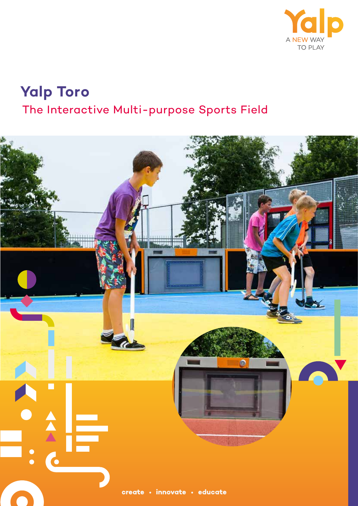

# **Yalp Toro** The Interactive Multi-purpose Sports Field

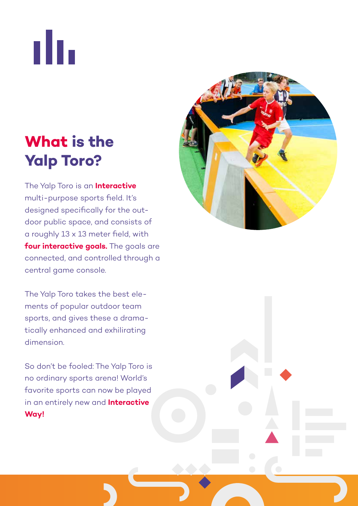nh.

# **What is the Yalp Toro?**

The Yalp Toro is an **Interactive**  multi-purpose sports field. It's designed specifically for the outdoor public space, and consists of a roughly 13 x 13 meter field, with **four interactive goals.** The goals are connected, and controlled through a central game console.

The Yalp Toro takes the best elements of popular outdoor team sports, and gives these a dramatically enhanced and exhilirating dimension.

So don't be fooled: The Yalp Toro is no ordinary sports arena! World's favorite sports can now be played in an entirely new and **Interactive Way!**

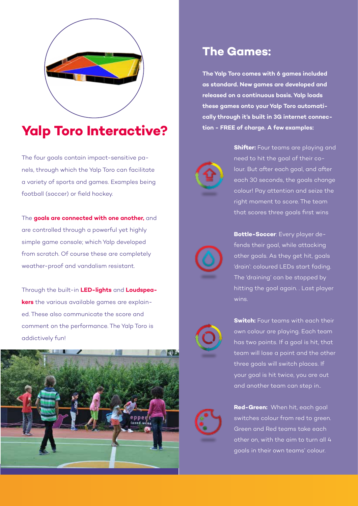

## **Yalp Toro Interactive?**

The four goals contain impact-sensitive panels, through which the Yalp Toro can facilitate a variety of sports and games. Examples being football (soccer) or field hockey.

The **goals are connected with one another,** and are controlled through a powerful yet highly simple game console; which Yalp developed from scratch. Of course these are completely weather-proof and vandalism resistant.

Through the built-in **LED-lights** and **Loudspeakers** the various available games are explained. These also communicate the score and comment on the performance. The Yalp Toro is addictively fun!



### **The Games:**

**The Yalp Toro comes with 6 games included as standard. New games are developed and released on a continuous basis. Yalp loads these games onto your Yalp Toro automatically through it's built in 3G internet connection - FREE of charge. A few examples:**



**Shifter:** Four teams are playing and need to hit the goal of their colour. But after each goal, and after each 30 seconds, the goals change colour! Pay attention and seize the right moment to score. The team that scores three goals first wins



**Bottle-Soccer**: Every player defends their goal, while attacking other goals. As they get hit, goals 'drain': coloured LEDs start fading. The 'draining' can be stopped by hitting the goal again. . Last player wins.



**Switch:** Four teams with each their own colour are playing. Each team has two points. If a goal is hit, that team will lose a point and the other three goals will switch places. If your goal is hit twice, you are out and another team can step in..



**Red-Green:** When hit, each goal switches colour from red to green. Green and Red teams take each other on, with the aim to turn all 4 goals in their own teams' colour.